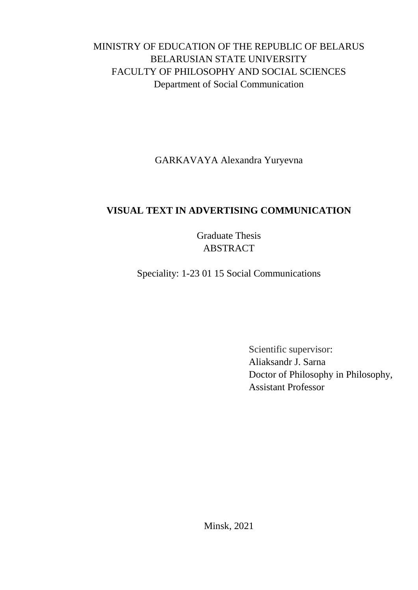## MINISTRY OF EDUCATION OF THE REPUBLIC OF BELARUS BELARUSIAN STATE UNIVERSITY FACULTY OF PHILOSOPHY AND SOCIAL SCIENCES Department of Social Communication

GARKAVAYA Alexandra Yuryevna

## **VISUAL TEXT IN ADVERTISING COMMUNICATION**

Graduate Thesis ABSTRACT

Speciality: 1-23 01 15 Social Communications

Scientific supervisor: Aliaksandr J. Sarna Doctor of Philosophy in Philosophy, Assistant Professor

Minsk, 2021